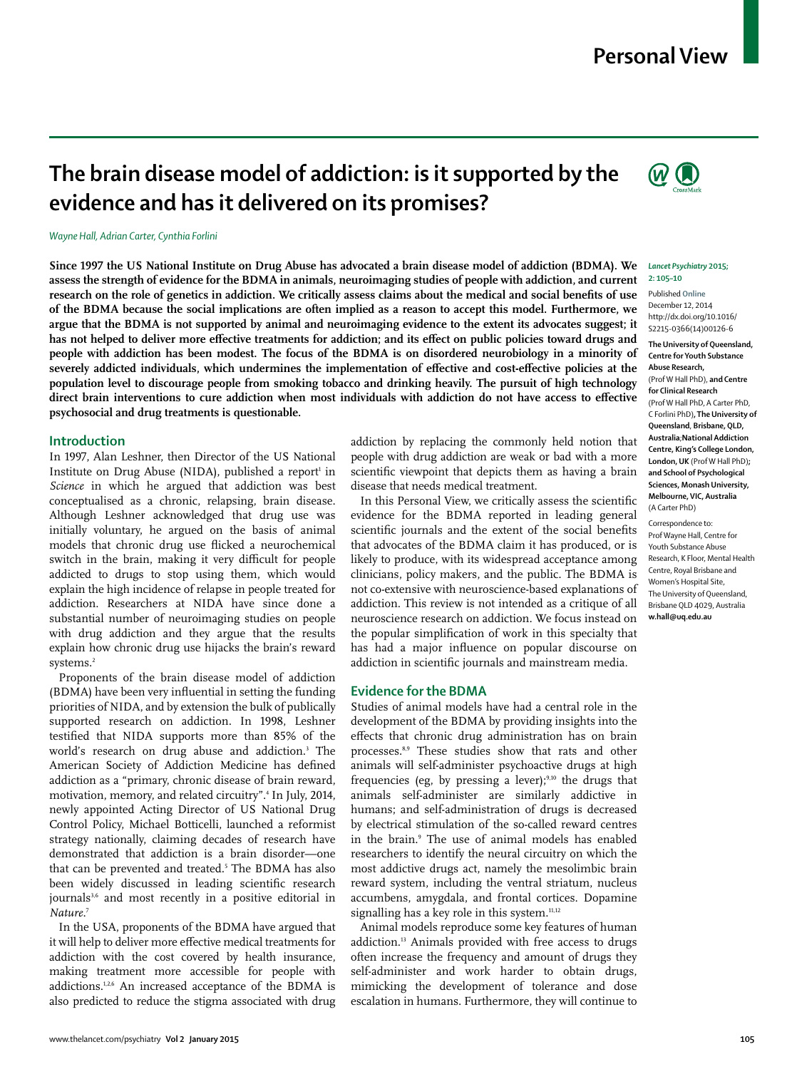## **Personal View**

# **The brain disease model of addiction: is it supported by the evidence and has it delivered on its promises?**

#### *Wayne Hall, Adrian Carter, Cynthia Forlini*

**Since 1997 the US National Institute on Drug Abuse has advocated a brain disease model of addiction (BDMA). We assess the strength of evidence for the BDMA in animals, neuroimaging studies of people with addiction, and current**  research on the role of genetics in addiction. We critically assess claims about the medical and social benefits of use **of the BDMA because the social implications are often implied as a reason to accept this model. Furthermore, we argue that the BDMA is not supported by animal and neuroimaging evidence to the extent its advocates suggest; it**  has not helped to deliver more effective treatments for addiction; and its effect on public policies toward drugs and **people with addiction has been modest. The focus of the BDMA is on disordered neurobiology in a minority of**  severely addicted individuals, which undermines the implementation of effective and cost-effective policies at the **population level to discourage people from smoking tobacco and drinking heavily. The pursuit of high technology**  direct brain interventions to cure addiction when most individuals with addiction do not have access to effective **psychosocial and drug treatments is questionable.**

#### **Introduction**

In 1997, Alan Leshner, then Director of the US National Institute on Drug Abuse (NIDA), published a report<sup>1</sup> in *Science* in which he argued that addiction was best conceptualised as a chronic, relapsing, brain disease. Although Leshner acknowledged that drug use was initially voluntary, he argued on the basis of animal models that chronic drug use flicked a neurochemical switch in the brain, making it very difficult for people addicted to drugs to stop using them, which would explain the high incidence of relapse in people treated for addiction. Researchers at NIDA have since done a substantial number of neuroimaging studies on people with drug addiction and they argue that the results explain how chronic drug use hijacks the brain's reward systems.2

Proponents of the brain disease model of addiction (BDMA) have been very influential in setting the funding priorities of NIDA, and by extension the bulk of publically supported research on addiction. In 1998, Leshner testified that NIDA supports more than 85% of the world's research on drug abuse and addiction.3 The American Society of Addiction Medicine has defined addiction as a "primary, chronic disease of brain reward, motivation, memory, and related circuitry".4 In July, 2014, newly appointed Acting Director of US National Drug Control Policy, Michael Botticelli, launched a reformist strategy nationally, claiming decades of research have demonstrated that addiction is a brain disorder—one that can be prevented and treated.5 The BDMA has also been widely discussed in leading scientific research journals<sup>3,6</sup> and most recently in a positive editorial in *Nature*. 7

In the USA, proponents of the BDMA have argued that it will help to deliver more effective medical treatments for addiction with the cost covered by health insurance, making treatment more accessible for people with addictions.1,2,6 An increased acceptance of the BDMA is also predicted to reduce the stigma associated with drug addiction by replacing the commonly held notion that people with drug addiction are weak or bad with a more scientific viewpoint that depicts them as having a brain disease that needs medical treatment.

In this Personal View, we critically assess the scientific evidence for the BDMA reported in leading general scientific journals and the extent of the social benefits that advocates of the BDMA claim it has produced, or is likely to produce, with its widespread acceptance among clinicians, policy makers, and the public*.* The BDMA is not co-extensive with neuroscience-based explanations of addiction. This review is not intended as a critique of all neuroscience research on addiction. We focus instead on the popular simplification of work in this specialty that has had a major influence on popular discourse on addiction in scientific journals and mainstream media.

#### **Evidence for the BDMA**

Studies of animal models have had a central role in the development of the BDMA by providing insights into the effects that chronic drug administration has on brain processes.8,9 These studies show that rats and other animals will self-administer psychoactive drugs at high frequencies (eg, by pressing a lever); $9,10$  the drugs that animals self-administer are similarly addictive in humans; and self-administration of drugs is decreased by electrical stimulation of the so-called reward centres in the brain.9 The use of animal models has enabled researchers to identify the neural circuitry on which the most addictive drugs act, namely the mesolimbic brain reward system, including the ventral striatum, nucleus accumbens, amygdala, and frontal cortices. Dopamine signalling has a key role in this system.<sup>11,12</sup>

Animal models reproduce some key features of human addiction.<sup>13</sup> Animals provided with free access to drugs often increase the frequency and amount of drugs they self-administer and work harder to obtain drugs, mimicking the development of tolerance and dose escalation in humans. Furthermore, they will continue to



#### *Lancet Psychiatry* **2015; 2: 105–10**

Published **Online** December 12, 2014 http://dx.doi.org/10.1016/ S2215-0366(14)00126-6

#### **The University of Queensland, Centre for Youth Substance Abuse Research,**  (Prof W Hall PhD), **and Centre for Clinical Research**  (Prof W Hall PhD, A Carter PhD, C Forlini PhD)**, The University of Queensland**, **Brisbane, QLD, Australia**;**National Addiction Centre, King's College London, London, UK** (Prof W Hall PhD)**; and School of Psychological Sciences, Monash University, Melbourne, VIC, Australia** (A Carter PhD)

Correspondence to: Prof Wayne Hall, Centre for Youth Substance Abuse Research, K Floor, Mental Health Centre, Royal Brisbane and Women's Hospital Site, The University of Queensland, Brisbane QLD 4029, Australia **w.hall@uq.edu.au**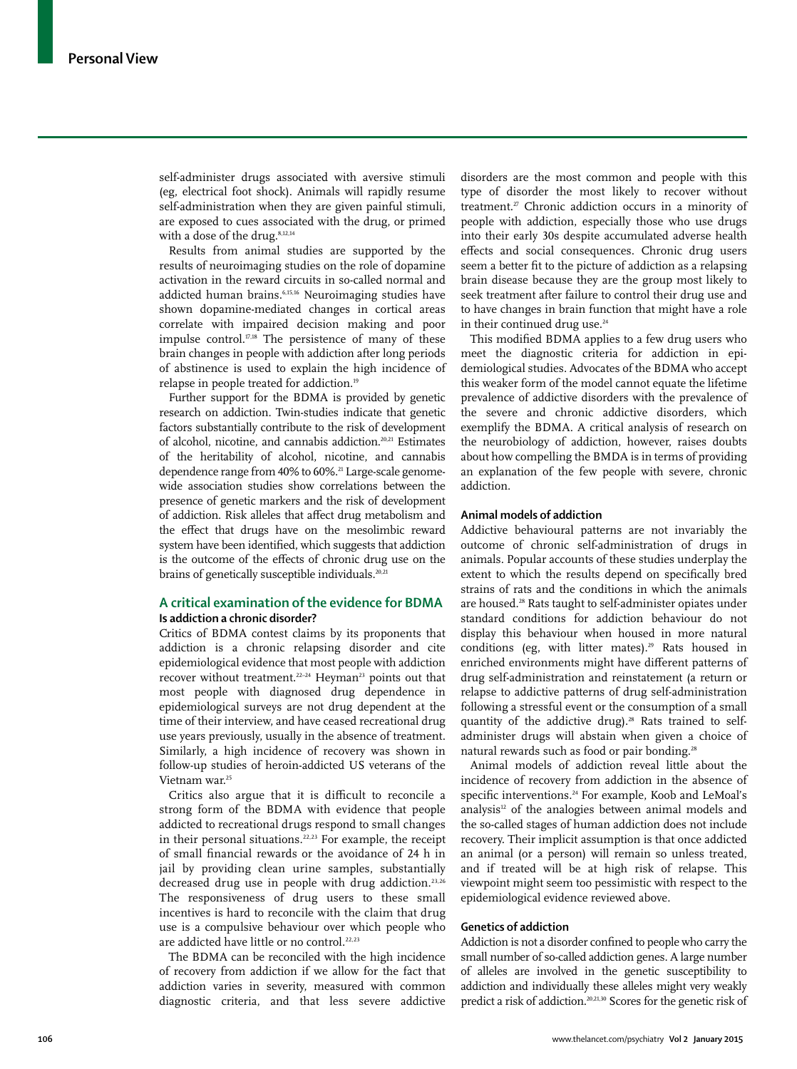self-administer drugs associated with aversive stimuli (eg, electrical foot shock). Animals will rapidly resume self-administration when they are given painful stimuli, are exposed to cues associated with the drug, or primed with a dose of the drug.8,12,14

Results from animal studies are supported by the results of neuroimaging studies on the role of dopamine activation in the reward circuits in so-called normal and addicted human brains.6,15,16 Neuroimaging studies have shown dopamine-mediated changes in cortical areas correlate with impaired decision making and poor impulse control. $17,18$  The persistence of many of these brain changes in people with addiction after long periods of abstinence is used to explain the high incidence of relapse in people treated for addiction.<sup>19</sup>

Further support for the BDMA is provided by genetic research on addiction. Twin-studies indicate that genetic factors substantially contribute to the risk of development of alcohol, nicotine, and cannabis addiction.20,21 Estimates of the heritability of alcohol, nicotine, and cannabis dependence range from 40% to 60%.<sup>21</sup> Large-scale genomewide association studies show correlations between the presence of genetic markers and the risk of development of addiction. Risk alleles that affect drug metabolism and the effect that drugs have on the mesolimbic reward system have been identified, which suggests that addiction is the outcome of the effects of chronic drug use on the brains of genetically susceptible individuals.<sup>20,21</sup>

## **A critical examination of the evidence for BDMA Is addiction a chronic disorder?**

Critics of BDMA contest claims by its proponents that addiction is a chronic relapsing disorder and cite epidemiological evidence that most people with addiction recover without treatment.<sup>22-24</sup> Heyman<sup>23</sup> points out that most people with diagnosed drug dependence in epidemiological surveys are not drug dependent at the time of their interview, and have ceased recreational drug use years previously, usually in the absence of treatment. Similarly, a high incidence of recovery was shown in follow-up studies of heroin-addicted US veterans of the Vietnam war.25

Critics also argue that it is difficult to reconcile a strong form of the BDMA with evidence that people addicted to recreational drugs respond to small changes in their personal situations.<sup>22,23</sup> For example, the receipt of small financial rewards or the avoidance of 24 h in jail by providing clean urine samples, substantially decreased drug use in people with drug addiction.<sup>23,26</sup> The responsiveness of drug users to these small incentives is hard to reconcile with the claim that drug use is a compulsive behaviour over which people who are addicted have little or no control.<sup>22,23</sup>

The BDMA can be reconciled with the high incidence of recovery from addiction if we allow for the fact that addiction varies in severity, measured with common diagnostic criteria, and that less severe addictive disorders are the most common and people with this type of disorder the most likely to recover without treatment.<sup>27</sup> Chronic addiction occurs in a minority of people with addiction, especially those who use drugs into their early 30s despite accumulated adverse health effects and social consequences. Chronic drug users seem a better fit to the picture of addiction as a relapsing brain disease because they are the group most likely to seek treatment after failure to control their drug use and to have changes in brain function that might have a role in their continued drug use.<sup>24</sup>

This modified BDMA applies to a few drug users who meet the diagnostic criteria for addiction in epidemiological studies. Advocates of the BDMA who accept this weaker form of the model cannot equate the lifetime prevalence of addictive disorders with the prevalence of the severe and chronic addictive disorders, which exemplify the BDMA. A critical analysis of research on the neurobiology of addiction, however, raises doubts about how compelling the BMDA is in terms of providing an explanation of the few people with severe, chronic addiction.

#### **Animal models of addiction**

Addictive behavioural patterns are not invariably the outcome of chronic self-administration of drugs in animals. Popular accounts of these studies underplay the extent to which the results depend on specifically bred strains of rats and the conditions in which the animals are housed.<sup>28</sup> Rats taught to self-administer opiates under standard conditions for addiction behaviour do not display this behaviour when housed in more natural conditions (eg, with litter mates).<sup>29</sup> Rats housed in enriched environments might have different patterns of drug self-administration and reinstatement (a return or relapse to addictive patterns of drug self-administration following a stressful event or the consumption of a small quantity of the addictive drug).<sup>28</sup> Rats trained to selfadminister drugs will abstain when given a choice of natural rewards such as food or pair bonding.<sup>28</sup>

Animal models of addiction reveal little about the incidence of recovery from addiction in the absence of specific interventions.<sup>24</sup> For example, Koob and LeMoal's analysis<sup>12</sup> of the analogies between animal models and the so-called stages of human addiction does not include recovery. Their implicit assumption is that once addicted an animal (or a person) will remain so unless treated, and if treated will be at high risk of relapse. This viewpoint might seem too pessimistic with respect to the epidemiological evidence reviewed above.

### **Genetics of addiction**

Addiction is not a disorder confined to people who carry the small number of so-called addiction genes. A large number of alleles are involved in the genetic susceptibility to addiction and individually these alleles might very weakly predict a risk of addiction.20,21,30 Scores for the genetic risk of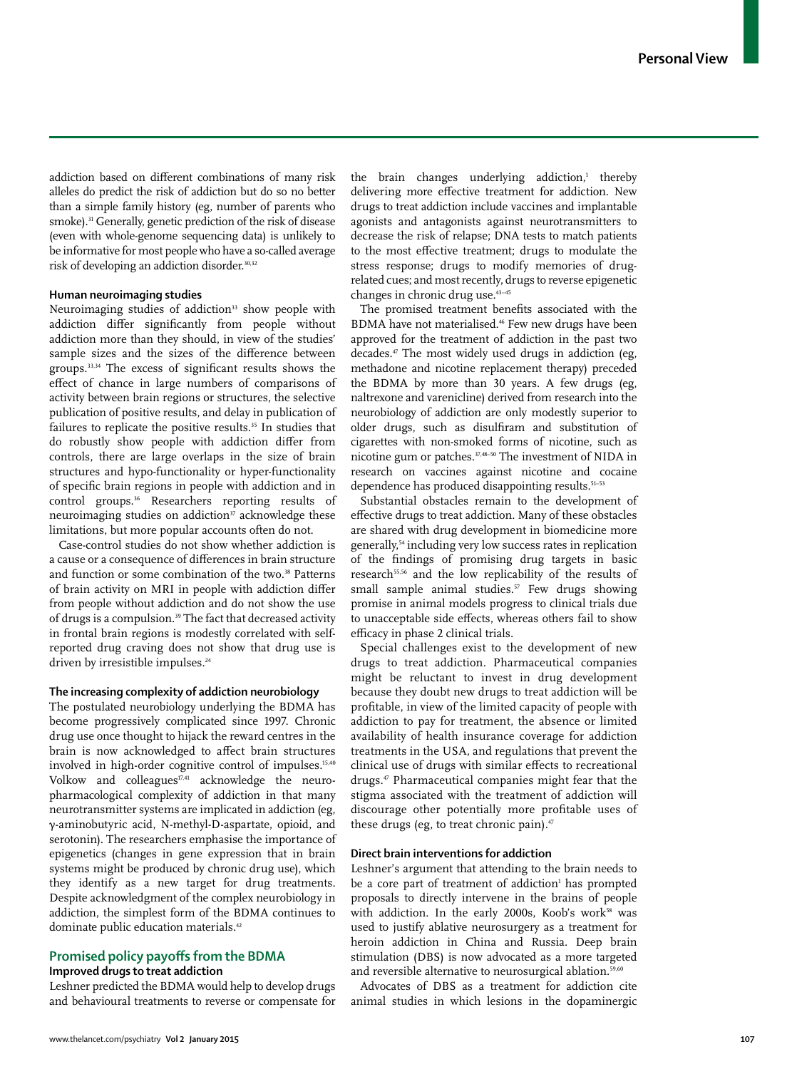addiction based on different combinations of many risk alleles do predict the risk of addiction but do so no better than a simple family history (eg, number of parents who smoke).<sup>31</sup> Generally, genetic prediction of the risk of disease (even with whole-genome sequencing data) is unlikely to be informative for most people who have a so-called average risk of developing an addiction disorder.<sup>30,32</sup>

## **Human neuroimaging studies**

Neuroimaging studies of addiction<sup>33</sup> show people with addiction differ significantly from people without addiction more than they should, in view of the studies' sample sizes and the sizes of the difference between groups. $33,34$  The excess of significant results shows the effect of chance in large numbers of comparisons of activity between brain regions or structures, the selective publication of positive results, and delay in publication of failures to replicate the positive results.<sup>35</sup> In studies that do robustly show people with addiction differ from controls, there are large overlaps in the size of brain structures and hypo-functionality or hyper-functionality of specific brain regions in people with addiction and in control groups.36 Researchers reporting results of neuroimaging studies on addiction $\overline{s}$  acknowledge these limitations, but more popular accounts often do not.

Case-control studies do not show whether addiction is a cause or a consequence of differences in brain structure and function or some combination of the two.<sup>38</sup> Patterns of brain activity on MRI in people with addiction differ from people without addiction and do not show the use of drugs is a compulsion.<sup>39</sup> The fact that decreased activity in frontal brain regions is modestly correlated with selfreported drug craving does not show that drug use is driven by irresistible impulses.<sup>24</sup>

## **The increasing complexity of addiction neurobiology**

The postulated neurobiology underlying the BDMA has become progressively complicated since 1997. Chronic drug use once thought to hijack the reward centres in the brain is now acknowledged to affect brain structures involved in high-order cognitive control of impulses.<sup>15,40</sup> Volkow and colleagues $17,41$  acknowledge the neuropharmacological complexity of addiction in that many neurotransmitter systems are implicated in addiction (eg, γ-aminobutyric acid, N-methyl-D-aspartate, opioid, and serotonin). The researchers emphasise the importance of epigenetics (changes in gene expression that in brain systems might be produced by chronic drug use), which they identify as a new target for drug treatments. Despite acknowledgment of the complex neurobiology in addiction, the simplest form of the BDMA continues to dominate public education materials.<sup>42</sup>

## **Promised policy payoffs from the BDMA Improved drugs to treat addiction**

Leshner predicted the BDMA would help to develop drugs and behavioural treatments to reverse or compensate for

the brain changes underlying addiction,<sup>1</sup> thereby delivering more effective treatment for addiction. New drugs to treat addiction include vaccines and implantable agonists and antagonists against neurotransmitters to decrease the risk of relapse; DNA tests to match patients to the most effective treatment; drugs to modulate the stress response; drugs to modify memories of drugrelated cues; and most recently, drugs to reverse epigenetic changes in chronic drug use.43–45

The promised treatment benefits associated with the BDMA have not materialised.<sup>46</sup> Few new drugs have been approved for the treatment of addiction in the past two  $decades$ .<sup> $\pi$ </sup> The most widely used drugs in addiction (eg, methadone and nicotine replacement therapy) preceded the BDMA by more than 30 years. A few drugs (eg, naltrexone and varenicline) derived from research into the neurobiology of addiction are only modestly superior to older drugs, such as disulfiram and substitution of cigarettes with non-smoked forms of nicotine, such as nicotine gum or patches.<sup>37,48-50</sup> The investment of NIDA in research on vaccines against nicotine and cocaine dependence has produced disappointing results.<sup>51-53</sup>

Substantial obstacles remain to the development of effective drugs to treat addiction. Many of these obstacles are shared with drug development in biomedicine more generally,54 including very low success rates in replication of the findings of promising drug targets in basic research55,56 and the low replicability of the results of small sample animal studies.<sup>57</sup> Few drugs showing promise in animal models progress to clinical trials due to unacceptable side effects, whereas others fail to show efficacy in phase 2 clinical trials.

Special challenges exist to the development of new drugs to treat addiction. Pharmaceutical companies might be reluctant to invest in drug development because they doubt new drugs to treat addiction will be profitable, in view of the limited capacity of people with addiction to pay for treatment, the absence or limited availability of health insurance coverage for addiction treatments in the USA, and regulations that prevent the clinical use of drugs with similar effects to recreational drugs.47 Pharmaceutical companies might fear that the stigma associated with the treatment of addiction will discourage other potentially more profitable uses of these drugs (eg, to treat chronic pain). $47$ 

## **Direct brain interventions for addiction**

Leshner's argument that attending to the brain needs to be a core part of treatment of addiction<sup>1</sup> has prompted proposals to directly intervene in the brains of people with addiction. In the early 2000s, Koob's work<sup>58</sup> was used to justify ablative neurosurgery as a treatment for heroin addiction in China and Russia. Deep brain stimulation (DBS) is now advocated as a more targeted and reversible alternative to neurosurgical ablation.<sup>59,60</sup>

Advocates of DBS as a treatment for addiction cite animal studies in which lesions in the dopaminergic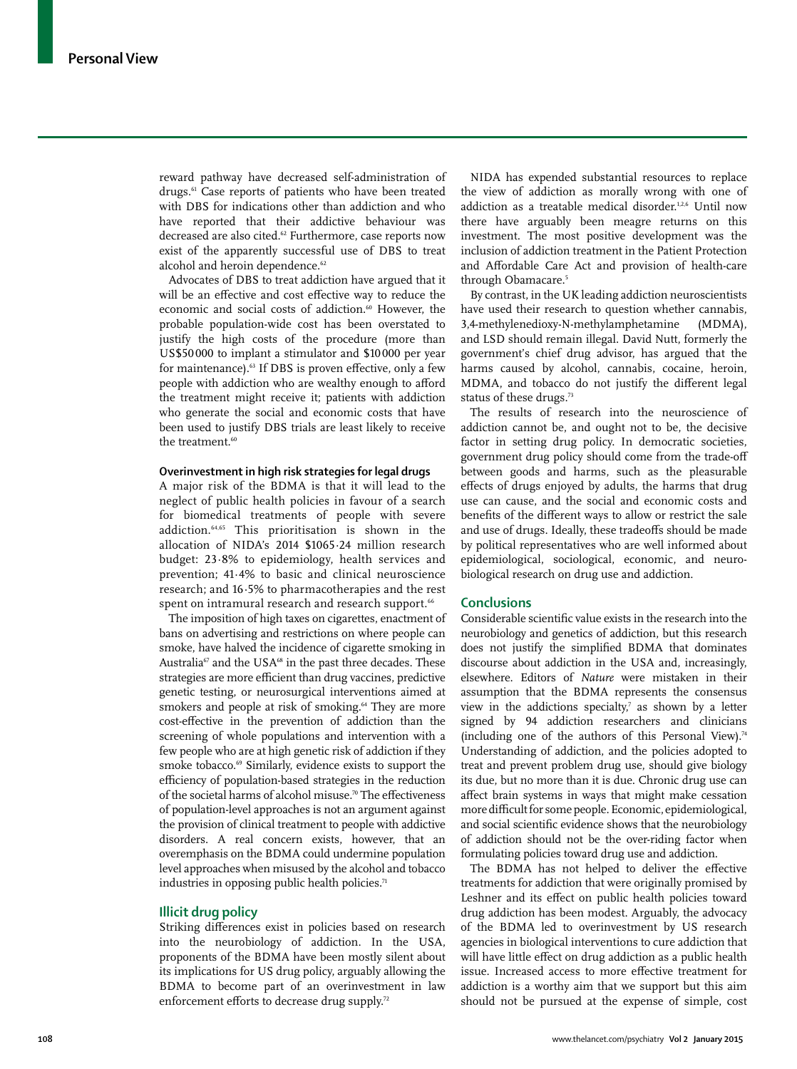reward pathway have decreased self-administration of drugs.<sup>61</sup> Case reports of patients who have been treated with DBS for indications other than addiction and who have reported that their addictive behaviour was decreased are also cited.<sup>62</sup> Furthermore, case reports now exist of the apparently successful use of DBS to treat alcohol and heroin dependence.<sup>62</sup>

Advocates of DBS to treat addiction have argued that it will be an effective and cost effective way to reduce the economic and social costs of addiction.<sup>60</sup> However, the probable population-wide cost has been overstated to justify the high costs of the procedure (more than US\$50 000 to implant a stimulator and \$10 000 per year for maintenance).<sup>63</sup> If DBS is proven effective, only a few people with addiction who are wealthy enough to afford the treatment might receive it; patients with addiction who generate the social and economic costs that have been used to justify DBS trials are least likely to receive the treatment.<sup>60</sup>

## **Overinvestment in high risk strategies for legal drugs**

A major risk of the BDMA is that it will lead to the neglect of public health policies in favour of a search for biomedical treatments of people with severe addiction.64,65 This prioritisation is shown in the allocation of NIDA's 2014 \$1065·24 million research budget: 23·8% to epidemiology, health services and prevention; 41·4% to basic and clinical neuroscience research; and 16·5% to pharmacotherapies and the rest spent on intramural research and research support.<sup>66</sup>

The imposition of high taxes on cigarettes, enactment of bans on advertising and restrictions on where people can smoke, have halved the incidence of cigarette smoking in Australia<sup>67</sup> and the USA<sup>68</sup> in the past three decades. These strategies are more efficient than drug vaccines, predictive genetic testing, or neurosurgical interventions aimed at smokers and people at risk of smoking.<sup>64</sup> They are more cost-effective in the prevention of addiction than the screening of whole populations and intervention with a few people who are at high genetic risk of addiction if they smoke tobacco.<sup>69</sup> Similarly, evidence exists to support the efficiency of population-based strategies in the reduction of the societal harms of alcohol misuse.<sup>70</sup> The effectiveness of population-level approaches is not an argument against the provision of clinical treatment to people with addictive disorders. A real concern exists, however, that an overemphasis on the BDMA could undermine population level approaches when misused by the alcohol and tobacco industries in opposing public health policies. $71$ 

#### **Illicit drug policy**

Striking differences exist in policies based on research into the neurobiology of addiction. In the USA, proponents of the BDMA have been mostly silent about its implications for US drug policy, arguably allowing the BDMA to become part of an overinvestment in law enforcement efforts to decrease drug supply.<sup>72</sup>

NIDA has expended substantial resources to replace the view of addiction as morally wrong with one of addiction as a treatable medical disorder.<sup>1,2,6</sup> Until now there have arguably been meagre returns on this investment. The most positive development was the inclusion of addiction treatment in the Patient Protection and Affordable Care Act and provision of health-care through Obamacare.<sup>5</sup>

By contrast, in the UK leading addiction neuroscientists have used their research to question whether cannabis, 3,4-methylenedioxy-N-methylamphetamine (MDMA), and LSD should remain illegal. David Nutt, formerly the government's chief drug advisor, has argued that the harms caused by alcohol, cannabis, cocaine, heroin, MDMA, and tobacco do not justify the different legal status of these drugs.<sup>73</sup>

The results of research into the neuroscience of addiction cannot be, and ought not to be, the decisive factor in setting drug policy. In democratic societies, government drug policy should come from the trade-off between goods and harms, such as the pleasurable effects of drugs enjoyed by adults, the harms that drug use can cause, and the social and economic costs and benefits of the different ways to allow or restrict the sale and use of drugs. Ideally, these tradeoffs should be made by political representatives who are well informed about epidemiological, sociological, economic, and neurobiological research on drug use and addiction.

## **Conclusions**

Considerable scientific value exists in the research into the neurobiology and genetics of addiction, but this research does not justify the simplified BDMA that dominates discourse about addiction in the USA and, increasingly, elsewhere. Editors of *Nature* were mistaken in their assumption that the BDMA represents the consensus view in the addictions specialty, $\bar{y}$  as shown by a letter signed by 94 addiction researchers and clinicians (including one of the authors of this Personal View).<sup>74</sup> Understanding of addiction, and the policies adopted to treat and prevent problem drug use, should give biology its due, but no more than it is due. Chronic drug use can affect brain systems in ways that might make cessation more difficult for some people. Economic, epidemiological, and social scientific evidence shows that the neurobiology of addiction should not be the over-riding factor when formulating policies toward drug use and addiction.

The BDMA has not helped to deliver the effective treatments for addiction that were originally promised by Leshner and its effect on public health policies toward drug addiction has been modest. Arguably, the advocacy of the BDMA led to overinvestment by US research agencies in biological interventions to cure addiction that will have little effect on drug addiction as a public health issue. Increased access to more effective treatment for addiction is a worthy aim that we support but this aim should not be pursued at the expense of simple, cost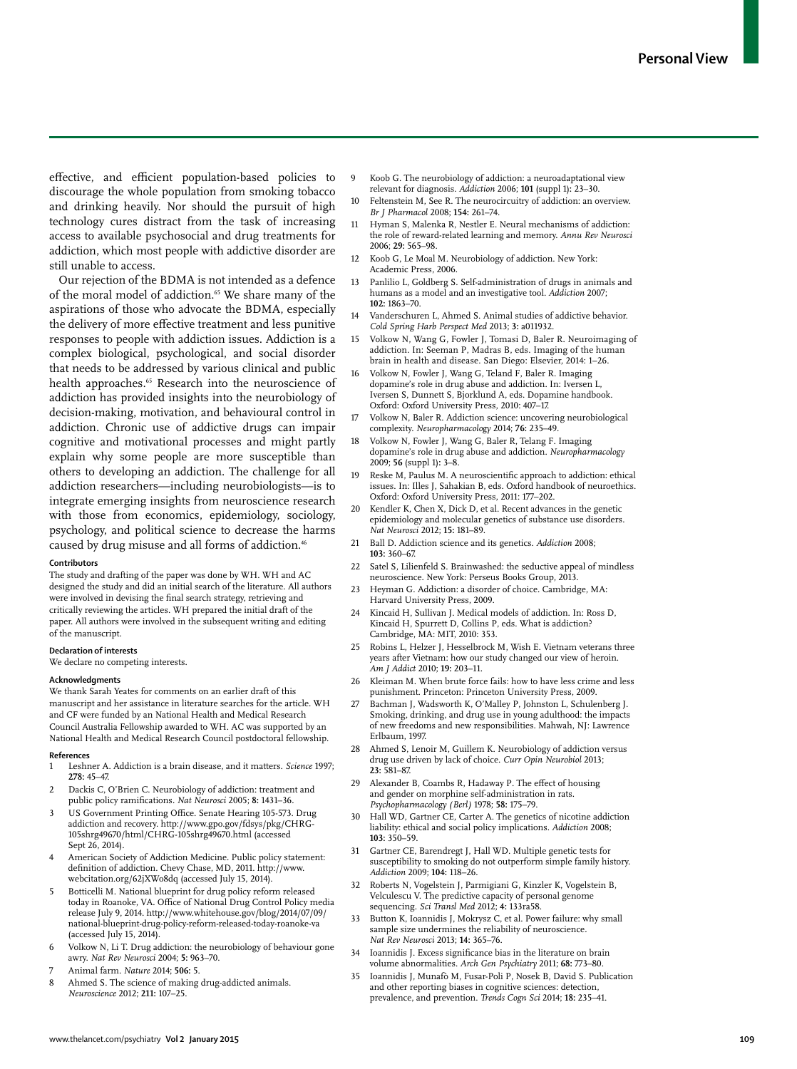effective, and efficient population-based policies to discourage the whole population from smoking tobacco and drinking heavily. Nor should the pursuit of high technology cures distract from the task of increasing access to available psychosocial and drug treatments for addiction, which most people with addictive disorder are still unable to access.

Our rejection of the BDMA is not intended as a defence of the moral model of addiction.<sup>65</sup> We share many of the aspirations of those who advocate the BDMA, especially the delivery of more effective treatment and less punitive responses to people with addiction issues. Addiction is a complex biological, psychological, and social disorder that needs to be addressed by various clinical and public health approaches.<sup>65</sup> Research into the neuroscience of addiction has provided insights into the neurobiology of decision-making, motivation, and behavioural control in addiction. Chronic use of addictive drugs can impair cognitive and motivational processes and might partly explain why some people are more susceptible than others to developing an addiction. The challenge for all addiction researchers—including neurobiologists—is to integrate emerging insights from neuroscience research with those from economics, epidemiology, sociology, psychology, and political science to decrease the harms caused by drug misuse and all forms of addiction.<sup>46</sup>

#### **Contributors**

The study and drafting of the paper was done by WH. WH and AC designed the study and did an initial search of the literature. All authors were involved in devising the final search strategy, retrieving and critically reviewing the articles. WH prepared the initial draft of the paper. All authors were involved in the subsequent writing and editing of the manuscript.

#### **Declaration of interests**

We declare no competing interests.

#### **Acknowledgments**

We thank Sarah Yeates for comments on an earlier draft of this manuscript and her assistance in literature searches for the article. WH and CF were funded by an National Health and Medical Research Council Australia Fellowship awarded to WH. AC was supported by an National Health and Medical Research Council postdoctoral fellowship.

#### **References**

- 1 Leshner A. Addiction is a brain disease, and it matters. *Science* 1997; **278:** 45–47.
- 2 Dackis C, O'Brien C. Neurobiology of addiction: treatment and public policy ramifications. *Nat Neurosci* 2005; 8: 1431-36.
- US Government Printing Office. Senate Hearing 105-573. Drug addiction and recovery. http://www.gpo.gov/fdsys/pkg/CHRG-105shrg49670/html/CHRG-105shrg49670.html (accessed Sept 26, 2014).
- 4 American Society of Addiction Medicine. Public policy statement: definition of addiction. Chevy Chase, MD, 2011. http://www. webcitation.org/62jXWo8dq (accessed July 15, 2014).
- 5 Botticelli M. National blueprint for drug policy reform released today in Roanoke, VA. Office of National Drug Control Policy media release July 9, 2014. http://www.whitehouse.gov/blog/2014/07/09/ national-blueprint-drug-policy-reform-released-today-roanoke-va (accessed July 15, 2014).
- Volkow N, Li T. Drug addiction: the neurobiology of behaviour gone awry. *Nat Rev Neurosci* 2004; **5:** 963–70.
- 7 Animal farm. *Nature* 2014; **506:** 5.
- 8 Ahmed S. The science of making drug-addicted animals. *Neuroscience* 2012; **211:** 107–25.
- 9 Koob G. The neurobiology of addiction: a neuroadaptational view relevant for diagnosis. *Addiction* 2006; **101** (suppl 1)**:** 23–30.
- 10 Feltenstein M, See R. The neurocircuitry of addiction: an overview. *Br J Pharmacol* 2008; **154:** 261–74.
- Hyman S, Malenka R, Nestler E. Neural mechanisms of addiction: the role of reward-related learning and memory. *Annu Rev Neurosci* 2006; **29:** 565–98.
- 12 Koob G, Le Moal M. Neurobiology of addiction. New York: Academic Press, 2006.
- Panlilio L, Goldberg S. Self-administration of drugs in animals and humans as a model and an investigative tool. *Addiction* 2007; **102:** 1863–70.
- 14 Vanderschuren L, Ahmed S. Animal studies of addictive behavior. *Cold Spring Harb Perspect Med* 2013; **3:** a011932.
- Volkow N, Wang G, Fowler J, Tomasi D, Baler R. Neuroimaging of addiction. In: Seeman P, Madras B, eds. Imaging of the human brain in health and disease. San Diego: Elsevier, 2014: 1–26.
- 16 Volkow N, Fowler J, Wang G, Teland F, Baler R. Imaging dopamine's role in drug abuse and addiction. In: Iversen L, Iversen S, Dunnett S, Bjorklund A, eds. Dopamine handbook. Oxford: Oxford University Press, 2010: 407–17.
- 17 Volkow N, Baler R. Addiction science: uncovering neurobiological complexity. *Neuropharmacology* 2014; **76:** 235–49.
- 18 Volkow N, Fowler J, Wang G, Baler R, Telang F. Imaging dopamine's role in drug abuse and addiction. *Neuropharmacology* 2009; **56** (suppl 1)**:** 3–8.
- 19 Reske M, Paulus M. A neuroscientific approach to addiction: ethical issues. In: Illes J, Sahakian B, eds. Oxford handbook of neuroethics. Oxford: Oxford University Press, 2011: 177–202.
- Kendler K, Chen X, Dick D, et al. Recent advances in the genetic epidemiology and molecular genetics of substance use disorders. *Nat Neurosci* 2012; **15:** 181–89.
- 21 Ball D. Addiction science and its genetics. *Addiction* 2008; **103:** 360–67.
- Satel S, Lilienfeld S. Brainwashed: the seductive appeal of mindless neuroscience. New York: Perseus Books Group, 2013.
- 23 Heyman G. Addiction: a disorder of choice. Cambridge, MA: Harvard University Press, 2009.
- 24 Kincaid H, Sullivan J. Medical models of addiction. In: Ross D, Kincaid H, Spurrett D, Collins P, eds. What is addiction? Cambridge, MA: MIT, 2010: 353.
- 25 Robins L, Helzer J, Hesselbrock M, Wish E. Vietnam veterans three years after Vietnam: how our study changed our view of heroin. *Am J Addict* 2010; **19:** 203–11.
- 26 Kleiman M. When brute force fails: how to have less crime and less punishment. Princeton: Princeton University Press, 2009.
- 27 Bachman J, Wadsworth K, O'Malley P, Johnston L, Schulenberg J. Smoking, drinking, and drug use in young adulthood: the impacts of new freedoms and new responsibilities. Mahwah, NJ: Lawrence Erlbaum, 1997.
- Ahmed S, Lenoir M, Guillem K. Neurobiology of addiction versus drug use driven by lack of choice. *Curr Opin Neurobiol* 2013; **23:** 581–87.
- 29 Alexander B, Coambs R, Hadaway P. The effect of housing and gender on morphine self-administration in rats. *Psychopharmacology (Berl)* 1978; **58:** 175–79.
- 30 Hall WD, Gartner CE, Carter A. The genetics of nicotine addiction liability: ethical and social policy implications. *Addiction* 2008; **103:** 350–59.
- Gartner CE, Barendregt J, Hall WD. Multiple genetic tests for susceptibility to smoking do not outperform simple family history. *Addiction* 2009; **104:** 118–26.
- 32 Roberts N, Vogelstein J, Parmigiani G, Kinzler K, Vogelstein B, Velculescu V. The predictive capacity of personal genome sequencing. *Sci Transl Med* 2012; **4:** 133ra58.
- 33 Button K, Ioannidis J, Mokrysz C, et al. Power failure: why small sample size undermines the reliability of neuroscience. *Nat Rev Neurosci* 2013; **14:** 365–76.
- 34 Ioannidis J. Excess significance bias in the literature on brain volume abnormalities. *Arch Gen Psychiatry* 2011; **68:** 773–80.
- 35 Ioannidis J, Munafò M, Fusar-Poli P, Nosek B, David S. Publication and other reporting biases in cognitive sciences: detection, prevalence, and prevention. *Trends Cogn Sci* 2014; **18:** 235–41.